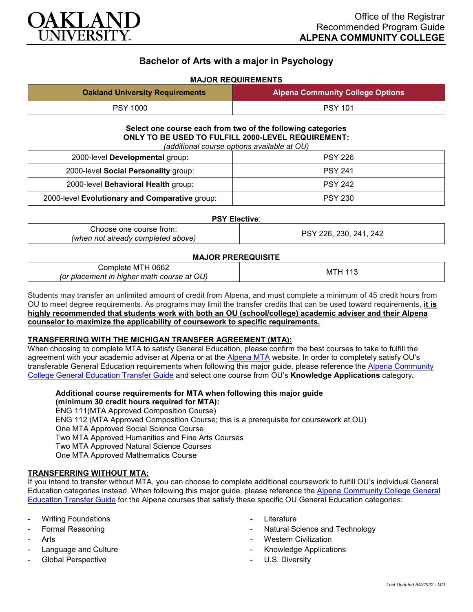

# **Bachelor of Arts with a major in Psychology**

## **MAJOR REQUIREMENTS**

| <b>Oakland University Requirements</b> | Alpena Community College Options |
|----------------------------------------|----------------------------------|
| <b>PSY 1000</b>                        | <b>PSY 101</b>                   |

#### **Select one course each from two of the following categories ONLY TO BE USED TO FULFILL 2000-LEVEL REQUIREMENT:** *(additional course options available at OU)*

| (additional course options available at OU)    |                |  |
|------------------------------------------------|----------------|--|
| 2000-level Developmental group:                | <b>PSY 226</b> |  |
| 2000-level Social Personality group:           | <b>PSY 241</b> |  |
| 2000-level Behavioral Health group:            | <b>PSY 242</b> |  |
| 2000-level Evolutionary and Comparative group: | <b>PSY 230</b> |  |

#### **PSY Elective**:

| Choose one course from:            |  |
|------------------------------------|--|
| (when not already completed above) |  |

*(when not already completed above)* PSY 226, 230, 241, 242

### **MAJOR PREREQUISITE**

| Complete MTH 0662                                    |           |
|------------------------------------------------------|-----------|
| course at OU)<br>r placement in higher math (<br>(or | M.<br>Ιм. |

Students may transfer an unlimited amount of credit from Alpena, and must complete a minimum of 45 credit hours from OU to meet degree requirements. As programs may limit the transfer credits that can be used toward requirements, **it is highly recommended that students work with both an OU (school/college) academic adviser and their Alpena counselor to maximize the applicability of coursework to specific requirements.**

### **TRANSFERRING WITH THE MICHIGAN TRANSFER AGREEMENT (MTA):**

When choosing to complete MTA to satisfy General Education, please confirm the best courses to take to fulfill the agreement with your academic adviser at Alpena or at the [Alpena MTA](https://discover.alpenacc.edu/admissions/current_students/MTA.php) website. In order to completely satisfy OU's transferable General Education requirements when following this major guide, please reference the [Alpena Community](https://www.oakland.edu/Assets/Oakland/program-guides/alpena-community-college/university-general-education-requirements/Alpena%20Gen%20Ed.pdf)  [College General Education Transfer Guide](https://www.oakland.edu/Assets/Oakland/program-guides/alpena-community-college/university-general-education-requirements/Alpena%20Gen%20Ed.pdf) and select one course from OU's **Knowledge Applications** category**.**

**Additional course requirements for MTA when following this major guide (minimum 30 credit hours required for MTA):** ENG 111(MTA Approved Composition Course) ENG 112 (MTA Approved Composition Course; this is a prerequisite for coursework at OU) One MTA Approved Social Science Course Two MTA Approved Humanities and Fine Arts Courses Two MTA Approved Natural Science Courses One MTA Approved Mathematics Course

### **TRANSFERRING WITHOUT MTA:**

If you intend to transfer without MTA, you can choose to complete additional coursework to fulfill OU's individual General Education categories instead. When following this major guide, please reference the [Alpena Community College General](https://www.oakland.edu/Assets/Oakland/program-guides/alpena-community-college/university-general-education-requirements/Alpena%20Gen%20Ed.pdf)  [Education Transfer Guide](https://www.oakland.edu/Assets/Oakland/program-guides/alpena-community-college/university-general-education-requirements/Alpena%20Gen%20Ed.pdf) for the Alpena courses that satisfy these specific OU General Education categories:

- **Writing Foundations**
- Formal Reasoning
- Arts
- Language and Culture
- Global Perspective
- Literature
- Natural Science and Technology
- **Western Civilization**
- Knowledge Applications
- U.S. Diversity